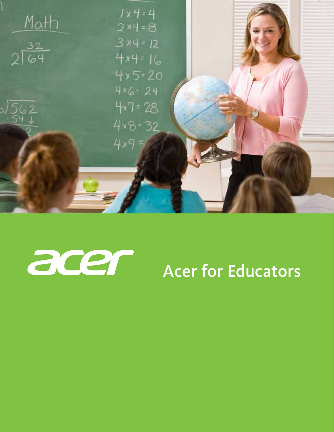



# Acer for Educators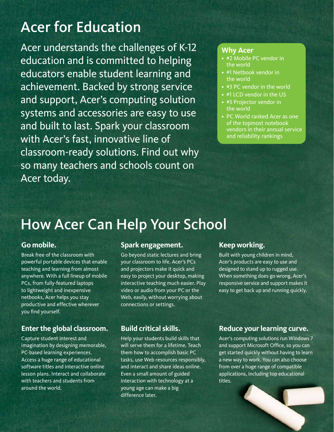### Acer for Education

Acer understands the challenges of K-12 education and is committed to helping educators enable student learning and achievement. Backed by strong service and support, Acer's computing solution systems and accessories are easy to use and built to last. Spark your classroom with Acer's fast, innovative line of classroom-ready solutions. Find out why so many teachers and schools count on Acer today.

#### **Why Acer**

- #2 Mobile PC vendor in the world
- #1 Netbook vendor in the world
- #3 PC vendor in the world
- #1 LCD vendor in the US
- #5 Projector vendor in the world
- PC World ranked Acer as one of the topmost notebook vendors in their annual service and reliability rankings

### How Acer Can Help Your School

### **Go mobile.**

Break free of the classroom with powerful portable devices that enable teaching and learning from almost anywhere. With a full lineup of mobile PCs, from fully-featured laptops to lightweight and inexpensive netbooks, Acer helps you stay productive and effective wherever you find yourself.

### **Enter the global classroom.**

Capture student interest and imagination by designing memorable, PC-based learning experiences. Access a huge range of educational software titles and interactive online lesson plans. Interact and collaborate with teachers and students from around the world.

### **Spark engagement.**

Go beyond static lectures and bring your classroom to life. Acer's PCs and projectors make it quick and easy to project your desktop, making interactive teaching much easier. Play video or audio from your PC or the Web, easily, without worrying about connections or settings.

### **Build critical skills.**

Help your students build skills that will serve them for a lifetime. Teach them how to accomplish basic PC tasks, use Web resources responsibly, and interact and share ideas online. Even a small amount of guided interaction with technology at a young age can make a big difference later.

### **Keep working.**

Built with young children in mind, Acer's products are easy to use and designed to stand up to rugged use. When something does go wrong, Acer's responsive service and support makes it easy to get back up and running quickly.

### **Reduce your learning curve.**

Acer's computing solutions run Windows 7 and support Microsoft Office, so you can get started quickly without having to learn a new way to work. You can also choose from over a huge range of compatible applications, including top educational titles.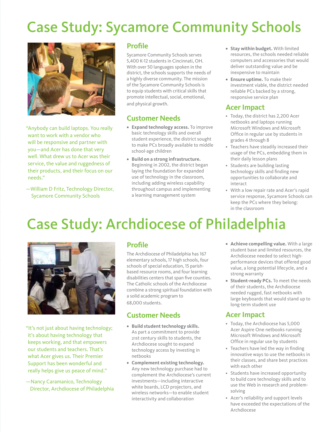# Case Study: Sycamore Community Schools



"Anybody can build laptops. You really want to work with a vendor who will be responsive and partner with you—and Acer has done that very well. What drew us to Acer was their service, the value and ruggedness of their products, and their focus on our needs."

—William D Fritz, Technology Director, Sycamore Community Schools

### **Profile**

Sycamore Community Schools serves 5,400 K-12 students in Cincinnati, OH. With over 50 languages spoken in the district, the schools supports the needs of a highly diverse community. The mission of the Sycamore Community Schools is to equip students with critical skills that promote intellectual, social, emotional, and physical growth.

### **Customer Needs**

- **• Expand technology access.** To improve basic technology skills and overall student experience, the district sought to make PCs broadly available to middle school-age children
- **• Build on a strong infrastructure.**  Beginning in 2002, the district began laying the foundation for expanded use of technology in the classroom, including adding wireless capability throughout campus and implementing a learning management system
- **• Stay within budget.** With limited resources, the schools needed reliable computers and accessories that would deliver outstanding value and be inexpensive to maintain
- **• Ensure uptime.** To make their investment viable, the district needed reliable PCs backed by a strong, responsive service plan

### **Acer Impact**

- Today, the district has 2,200 Acer netbooks and laptops running Microsoft Windows and Microsoft Office in regular use by students in grades 4 through 8
- Teachers have steadily increased their usage of the PCs, embedding them in their daily lesson plans
- Students are building lasting technology skills and finding new opportunities to collaborate and interact
- With a low repair rate and Acer's rapid service response, Sycamore Schools can keep the PCs where they belong: in the classroom

## Case Study: Archdiocese of Philadelphia



"It's not just about having technology; it's about having technology that keeps working, and that empowers our students and teachers. That's what Acer gives us. Their Premier Support has been wonderful and really helps give us peace of mind."

—Nancy Caramanico, Technology Director, Archdiocese of Philadelphia

### **Profile**

The Archdiocese of Philadelphia has 167 elementary schools, 17 high schools, four schools of special education, 15 parishbased resource rooms, and four learning disabilities centers that span five counties. The Catholic schools of the Archdiocese combine a strong spiritual foundation with a solid academic program to 68,000 students.

### **Customer Needs**

- **• Build student technology skills.** As part a commitment to provide 21st century skills to students, the Archdiocese sought to expand technology access by investing in netbooks
- **• Complement existing technology.**  Any new technology purchase had to complement the Archdiocese's current investments—including interactive white boards, LCD projectors, and wireless networks—to enable student interactivity and collaboration
- **• Achieve compelling value.** With a large student base and limited resources, the Archdiocese needed to select highperformance devices that offered good value, a long potential lifecycle, and a strong warranty
- **• Student-ready PCs.** To meet the needs of their students, the Archdiocese needed rugged, fast netbooks with large keyboards that would stand up to long-term student use

### **Acer Impact**

- Today, the Archdiocese has 5,000 Acer Aspire One netbooks running Microsoft Windows and Microsoft Office in regular use by students
- Teachers have led the way in finding innovative ways to use the netbooks in their classes, and share best practices with each other
- Students have increased opportunity to build core technology skills and to use the Web in research and problemsolving
- Acer's reliability and support levels have exceeded the expectations of the Archdiocese